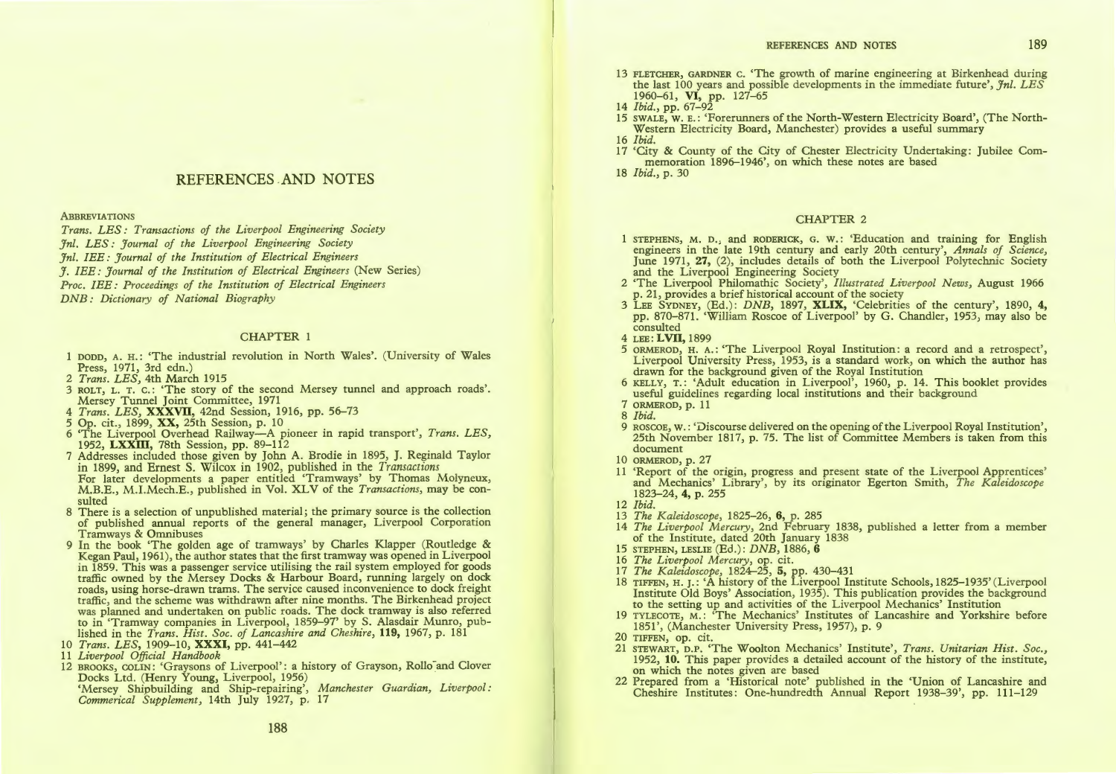## REFERENCES .AND NOTES

**ABBREVIATIONS** 

*Trans. LES: Transactions of the Liverpool Engineering Society Jnl. LES: Journal of the Liverpool Engineering Society Jnl. IEE: Journal of the Institution of Electrical Engineers J. IEE: Journal of the Institution of Electrical Engineers* (New Series)

*Proc. IEE: Proceedings of the Institution of Electrical Engineers* 

*DNB: Dictionary of National Biography* 

#### CHAPTER 1

- 1 DODD, A. H.: 'The industrial revolution in North Wales'. (University of Wales Press, 1971, 3rd edn.)
- 2 *Trans. LES,* 4th March 1915
- 3 ROLT, L. T. c.: 'The story of the second Mersey tunnel and approach roads'. Mersey Tunnel Joint Committee, 1971
- 4 *Trans. LES*, XXXVII, 42nd Session, 1916, pp. 56-73<br>5 Op. cit., 1899, XX, 25th Session, p. 10
- 
- 5 Op. cit., 1899, **XX,** 25th Session, p. 10<br>6 'The Liverpool Overhead Railway---A pioneer in rapid transport', *Trans. LES,*
- 1952, LXXIII, 78th Session, pp. 89–112<br>7 Addresses included those given by John A. Brodie in 1895, J. Reginald Taylor in 1899 and Ernest S. Wilcox in 1902, published in the *Transactions*  For later developments a paper entitled 'Tramways' by Thomas Molyneux, M.B.E., M.I.Mech.E., published in Vol. XL V of the *Transactions,* may be con-
- 8 There is a selection of unpublished material; the primary source is the collection of published annual reports of the general manager, Liverpool Corporation Tramways & Omnibuses
- 9 In the book 'The golden age of tramways' by Charles Klapper (Routledge & Kegan Paul, 1961), the author states that the first tramway was opened in Liverpool in 1859. This was a passenger service utilising the rail system employed for goods traffic owned by the Mersey Docks & Harbour Board, running largely on dock roads, using horse-drawn trams. The service caused inconvenience to dock freight traffic, and the scheme was withdrawn after nine months. The Birkenhead project was planned and undertaken on public roads. The dock tramway is also referred to in 'Tramway companies in Liverpool, 1859-97' by S. Alasdair Munro, published in the *Trans. Hist. Soc. of Lancashire and Cheshire,* 119, 1967, p. 181
- 10 *Trans. LES,* 1909-10, XXXI, pp. 441-442
- 
- 12 BROOKS, COLIN: 'Graysons of Liverpool': a history of Grayson, Rollo and Clover Docks Ltd. (Henry Young, Liverpool, 1956)

'Mersey Shipbuilding and Ship-repairing', *Manchester Guardian, Liverpool: Commerical Supplement,* 14th July 1927, p. 17

### REFERENCES AND NOTES 189

- 13 FLETCHER, GARDNER c. 'The growth of marine engineering at Birkenhead during the last 100 years and possible developments in the immediate future', *Jnl. LES*  1960-61, VI, pp. 127-65
- 14 *Ibid.,* pp. 67-92
- 15 SWALE, w. E.: 'Forerunners of the North-Western Electricity Board', (The North-Western Electricity Board, Manchester) provides a useful summary
- 16 *Ibid.*
- 17 'City & County of the City of Chester Electricity Undertaking: Jubilee Commemoration 1896-1946', on which these notes are based

18 *Ibid.,* p. 30

### CHAPTER 2

- $\overline{S}$  I STEPHENS, M. D.; and RODERICK, G. W.: 'Education and training for English engineers in the late 19th century and early 20th century', *Annals of Science*, June 1971, 27, (2), includes details of both the Liverpool Polytechnic Society and the Liverpool Engineering Society
- 2 'The Liverpool Philomathic Society', *Illustrated Liverpool News,* August 1966 p. 21, provides a brief historical account of the society
- 3 LEE SYDNEY, (Ed.): *DNB,* 1897, XLIX, 'Celebrities of the century', 1890, 4, pp. 870-871. 'William Roscoe of Liverpool' by G. Chandler, 1953) may also be consulted
- 4 LEE: LVII, 1899
- 5 ORMEROD, H. A.: 'The Liverpool Royal Institution: a record and a retrospect', Liverpool University Press, 1953, is a standard work, on which the author has drawn for the background given of the Royal Institution
- 6 KELLY, T.: 'Adult education in Liverpool', 1960, p. 14. This booklet provides useful guidelines regarding local institutions and their background
- 7 ORMEROD, p. 11
- 8 *Ibid.*
- 9 ROSCOE, w.: 'Discourse delivered on the opening of the Liverpool Royal Institution', 25th November 1817, p. 75. The list of Committee Members is taken from this document
- 10 ORMEROD, p. 27
- 11 'Report of the origin, progress and present state of the Liverpool Apprentices' and Mechanics' Library', by its originator Egerton Smith, *The Kaleidoscope*  1823-24, 4, p. 255
- 12 *Ibid.*
- 13 *The Kaleidoscope,* 1825-26, 6, p. 285
- 14 *The Liverpool Mercury,* 2nd February 1838, published a letter from a member of the Institute, dated 20th January 1838
- 15 STEPHEN, LESLIE (Ed.): *DNB,* 1886, 6
- 
- 16 *The Liverpool Mercury,* op. cit. 17 *The Kaleidoscope,* 1824-25, 5, pp. 430-431
- 18 TIFFEN, H. J.: 'A history of the Liverpool Institute Schools, 1825-1935' (Liverpool Institute Old Boys' Association, 1935). This publication provides the background to the setting up and activities of the Liverpool Mechanics' Institution
- 19 TYLECOTE, M.: 'The Mechanics' Institutes of Lancashire and Yorkshire before 1851', (Manchester University Press, 1957), p. 9.
- 20 TIFFEN, op. cit.
- 21 STEWART, D.P. 'The Woolton Mechanics' Institute', *Trans. Unitarian Hist. Soc.,*  1952, 10. This paper provides a detailed account of the history of the institute, on which the notes given are based
- 22 Prepared from a 'Historical note' published in the 'Union of Lancashire and Cheshire Institutes: One-hundredth Annual Report 1938-39', pp. 111-129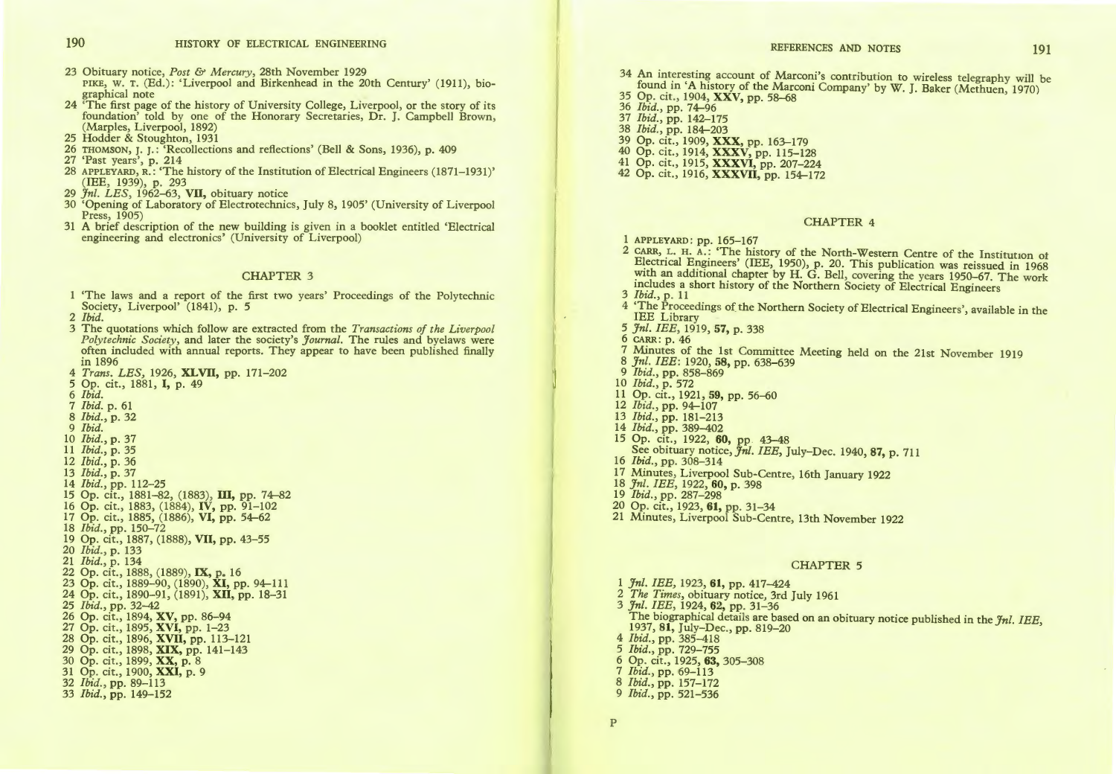23 Obituary notice, *Post* & *Mercury,* 28th November 1929

PIKE, w. T. (Ed.): 'Liverpool and Birkenhead in the 20th Century' (1911), biographical note

- 24 'The first page of the history of University College, Liverpool, or the story of its foundation' told by one of the Honorary Secretaries, Dr. J. Campbell Brown, (Marples, Liverpool, 1892)
- 25 Hodder & Stoughton, 1931
- 26 THOMSON, J. J.: 'Recollections and reflections' (Bell & Sons, 1936), p. 409
- 
- 27 'Past years', p. 214 28 APPLEYARD, R.: 'The history of the Institution of Electrical Engineers (1871-1931)' (IEE, 1939), p. 293
- 29 *Jn!. LES,* 1962-63, VII, obituary notice
- 30 'Opening of Laboratory of Electrotechnics, July 8, 1905' (University of Liverpool Press, 1905)
- 31 A brief description of the new building is given in a booklet entitled 'Electrical engineering and electronics' (University of Liverpool)

#### CHAPTER 3

'The laws and a report of the first two years' Proceedings of the Polytechnic Society, Liverpool' (1841), p. 5

2 *Ibid.* 

- 3 The quotations which follow are extracted from the *Transactions of the Liverpool Polytechnic Society, and Society and Society and Society appear to have been published finally* in 1896
- 4 *Trans. LES,* 1926, XLVII, pp. 171-202
- 5 Op. cit., 1881, I, p. 49
- 6 *Ibid.*
- 7 *Ibid.* p. 61
- 8 *Ibid.,* p. 32
- 9 *Ibid.*
- 10 *Ibid.,* p. 37
- 11 *Ibid.,* p. 35
- 12 *Ibid.,* p. 36
- 13 *Ibid.,* p. 37
- 14 *Ibid.,* pp. 112-25
- 15 Op. cit., 1881-82, (1883), III, pp. 74-82
- 16 Op. cit., 1883, (1884), IV, pp. 91-102
- 17 Op. cit., 1885, (1886), VI, pp. 54-62
- 18 *Ibid.,* pp. 150-72
- 19 Op. cit., 1887, (1888), VII, pp. 43-55
- 20 *Ibid.,* p. 133
- 21 *Ibid.,* p. 134
- 22 Op. cit., 1888, (1889), IX, p. 16
- 23 Op. cit., 1889-90, (1890), XI, pp. 94-111
- 24 Op. cit., 1890-91, (1891), XII, pp. 18-31 25 *Ibid.,* pp. 32-42
- 
- 26 Op. cit., 1894, XV, pp. 86-94 27 Op. cit., 1895, XVI, pp. 1-23
- 28 Op. cit., 1896, XVII, pp. 113-121
- 
- 29 Op. cit., 1898, XIX, pp. 141–143<br>30 Op. cit., 1899, XX, p. 8
- 31 Op. cit., 1900, XXI, p. 9
- 32 *Ibid.,* pp. 89-113
- 33 *Ibid.,* pp. 149-152
- 34 An interesting account of Marconi's contribution to wireless telegraphy *will* be found in 'A history of the Marconi Company' by W. J. Baker (Methuen, 1970)
- 35 Op. cit., 1904, XXV, pp. 58-68
- 36 *Ibid.,* pp. 74-96 37 *Ibid.,* pp. 142-175
- 
- 38 *Ibid.,* pp. 184-203
- 39 Op. cit., 1909, XXX, pp. 163-179
- 40 Op. cit., 1914, XXXV, pp. 115-128 41 Op. cit., 1915, XXXVI, pp. 207-224
- 42 Op. cit., 1916, XXXVII, pp. 154-172
- 

#### CHAPTER 4

- 1 APPLEYARD: pp. 165-167
- 2 CARR, L. H. A.: 'The history of the North-Western Centre of the Institution ot Efectrical Engineers' (IEE, 1950), p. 20. This publication was reissued in 1968 with an additional chapter by H. G. Bell, covering the years 1950–67. The work mcludes a short history of the Northern Society of Electrical Engineers 3 *Ibid.,* p. 11
- 
- 4 'The Proceedings of the Northern Society of Electrical Engineers', available in the IEE Library
- 5 *Jn!. IEE,* 1919, 57, p. 338 6 CARR: p. 46
- 
- 7 Minutes of the 1st Committee Meeting held on the 21st November 1919
- 8 *Jn!. IEE:* 1920, 58, pp. 638-639
- 9 *Ibid.,* pp. 858-869 10 *Ibid.,* p. 572
- 
- 11 Op. cit., 1921, 59, pp. 56-60
- 12 *Ibid.,* pp. 94-107
- 13 *Ibid.,* pp. 181-213
- 
- 14 *Ibid.,* pp. 389-402 15 Op. cit., 1922, 60, pp 43-48 See obituary notice, *Jn/. IEE,* July-Dec. 1940, 87, p. 711 16 *Ibid.,* pp. 308-314
- 
- 17 Minutes, Liverpool Sub-Centre, 16th January 1922
- 18 *Jn!. IEE,* 1922, 60, p. 398
- 19 *Ibid.,* pp. 287-298
- 20 Op. cit., 1923, **61,** pp. 31-34
- 21 Minutes, Liverpool Sub-Centre, 13th November 1922

#### CHAPTER 5

*Jnl. IEE,* 1923, **61,** pp. 417-424 *The Times,* obituary notice, 3rd July 1961 *Jn!. IEE,* 1924, 62, pp. 31-36 The biographical details are based on an obituary notice published in the *Jn!. IEE,*  1937, 81, July-Dec., pp. 819-20 *Ibid.,* pp. 385-418 *Ibid.,* pp. 729-755 6 Op. cit., 1925, 63, 305-308 *Ibid.,* pp. 69-113 *Ibid.,* pp. 157-172 *Ibid.,* pp. 521-536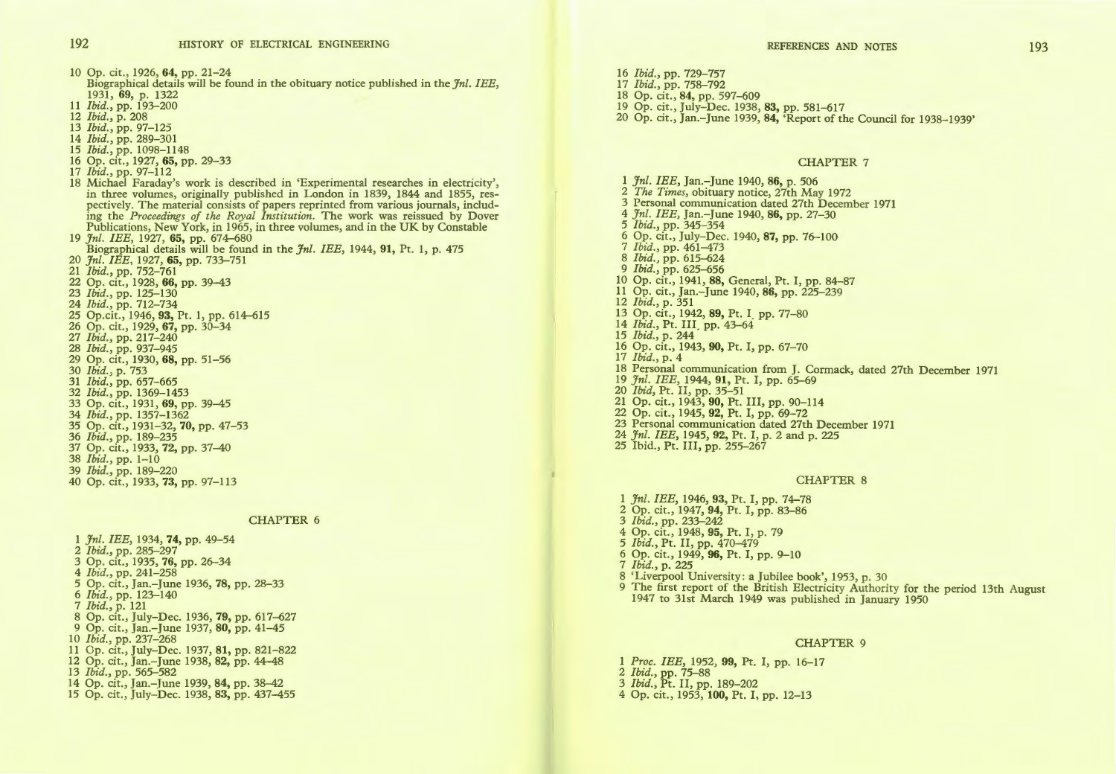10 Op. cit., 1926, 64, pp. 21-24

- Biographical details will be found in the obituary notice published in the *Jn/. IEE,*  1931, 69, p. 1322
- 11 *Ibid.,* pp. 193-200
- 12 *Ibid.,* p. 208
- 13 *Ibid.,* pp. 97-125
- 14 *Ibid.,* pp. 289-301
- 
- 15 *Ibid.,* pp. 1098-1148 16 Op. cit., 1927, 65, pp. 29-33
- 17 *Ibid.,* pp. 97-112
- 18 Michael Faraday's work is described in 'Experimental researches in electricity', in three volumes, originally published in London in 1839, 1844 and 1855, respectively. The material consists of papers reprinted from various journals, including the *Proceedings of the Royal Institution.* The work was reissued by Dover Publications, New York, in 1965, in three volumes, and in the UK by Constable 19 *Jn/. IEE,* 1927, 65, pp. 674-680
- Biographical details will be found in the *Jn/. IEE,* 1944, 91, Pt. 1, p. 475
- 20 *Jn/. IEE,* 1927, 65, pp. 733-751
- 21 *Ibid.,* pp. 752-761
- 22 Op. cit., 1928, 66, pp. 39-43
- 23 *Ibid.,* pp. 125-130
- 24 *Ibid.,* pp. 712-734
- 25 Op.cit., 1946, 93, Pt. 1, pp. 614-615
- 26 Op. cit., 1929, 67, pp. 30-34
- 27 *Ibid.,* pp. 217-240
- 28 *Ibid.,* pp. 937-945
- 29 Op. cit., 1930, 68, pp. 51-56
- 30 *Ibid. )* p. 753
- 31 *Ibid.,* pp. 657-665
- 32 *Ibid.,* pp. 1369-1453
- 33 Op. cit., 1931, 69, pp. 39-45
- 34 *Ibid.,* pp. 1357-1362
- 35 Op. cit., 1931-32, 70, pp. 47-53
- 36 *Ibid.,* pp. 189-235
- 37 Op. cit., 1933, 72, pp. 37-40 38 *Ibid.,* pp. 1-10
- 39 *Ibid.,* pp. 189-220
- 
- 40 Op. cit., 1933, 73, pp. 97-113

#### CHAPTER 6

1 *Jn/. IEE,* 1934, 74, pp. 49-54 2 *Ibid.,* pp. 285-297 3 Op. cit., 1935, 76, pp. 26-34 4 *Ibid.,* pp. 241-258 *5* Op. cit., Jan.-June 1936, 78, pp. 28-33 6 *Ibid.,* pp. 123-140 7 *Ibid.,* p. 121 8 Op. cit., July-Dec. 1936, 79, pp. 617-627 9 Op. cit., Jan.-June 1937, 80, pp. 41-45 10 *Ibid.,* pp. 237-268 11 Op. cit., July-Dec. 1937, 81, pp. 821-822 12 Op. cit., Jan.-June 1938, 82, pp. 44-48 13 *Ibid.,* pp. 565-582 14 Op. cit., Jan.-June 1939, 84, pp. 38-42 15 Op. cit., July-Dec. 1938, 83, pp. 437-455

- 16 *Ibid.,* pp. 729-757 17 *Ibid.,* pp. 758-792 18 Op. cit., 84, pp. 597-609 19 Op. cit., July-Dec. 1938, 83, pp. 581-617
- 20 Op. cit., Jan.-June 1939, 84, 'Report of the Council for 1938-1939'

# CHAPTER 7

REFERENCES AND NOTES

1 *Jn/. IEE,* Jan.-June 1940, 86, p. 506 2 *The Times,* obituary notice, 27th May 1972 3 Personal communication dated 27th December 1971 4 *Jn/. IEE,* Jan.-June 1940, 86, pp. 27-30 5 *Ibid.,* pp. 345-354 6 Op. cit., July-Dec. 1940, 87, pp. 76-100 7 *Ibid.,* pp. 461-473 8 *Ibid.,* pp. 615-624 9 *Ibid.,* pp. 625-656 10 Op. cit., 1941, 88, General, Pt. I, pp. 84-87 11 Op. cit., Jan.-June 1940, 86, pp. 225-239 12 *Ibid.,* p. 351 13 Op. cit., 1942, 89, Pt. I\_ pp. 77-80 14 *Ibid.,* Pt. III\_ pp. 43-64 15 *Ibid.,* p. 244 16 Op. cit., 1943, 90, Pt. I, pp. 67-70 17 *Ibid.,* p. 4 18 Personal communication from J. Cormack, dated 27th December 1971 19 *Jn/. IEE,* 1944, 91, Pt. I, pp. 65-69 20 *Ibid,* Pt. II, pp. 35-51 21 Op. cit., 1943, 90, Pt. III, pp. 90-114 22 Op. cit., 1945, 92, Pt. I, pp. 69-72 23 Personal communication dated 27th December 1971 24 *Jn/. IEE,* 1945, 92, Pt. I, p. 2 and p. 225

25 Ibid., Pt. III, pp. 255-267

#### CHAPTER 8

1 *Jnl. IEE*, 1946, 93, Pt. I, pp. 74-78 2 Op. cit., 1947, 94, Pt. I, pp. 83-86 3 *Ibid.,* pp. 233-242 4 Op. cit., 1948, 95, Pt. I, p. 79 *5 Ibid.,* Pt. II, pp. 470-479 6 Op. cit., 1949, 96, Pt. I, pp. 9-10 7 *Ibid.,* p. 225 8 'Liverpool University : a Jubilee book', 1953, p. 30 9 The first report of the British Electricity Authority for the period 13th August 1947 to 31st March 1949 was published *in* January 1950

#### CHAPTER 9

*Proc. IEE,* 1952, 99, Pt. I, pp. 16-17 *Ibid.,* pp. 75-88 *Ibid.,* Pt. II, pp. 189-202 4 Op. cit., 1953, 100, Pt. I, pp. 12-13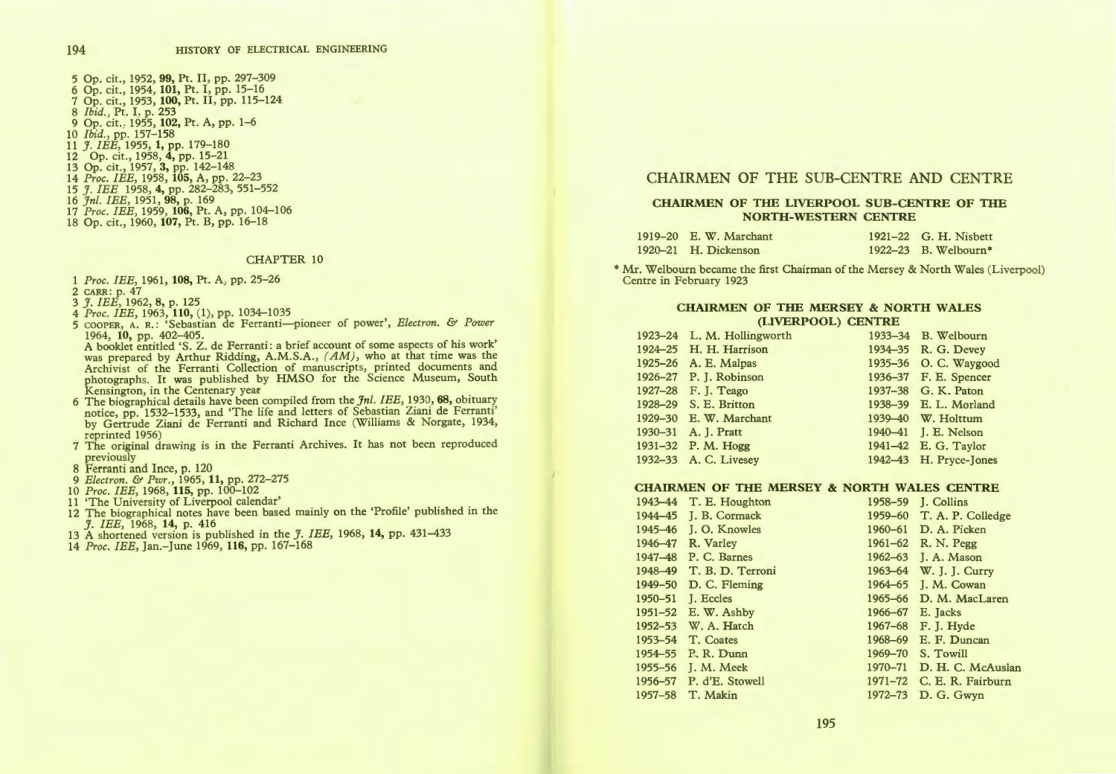5 Op. cit., 1952, 99, Pt. II, pp. 297-309 6 Op. cit., 1954, 101, Pt. I, pp. 15-16 7 Op. cit., 1953, 100, Pt. II, pp. 115-124 8 *Ibid.*, Pt. I. p. 253<br>9 Op. cit., 1955, **102,** Pt. A, pp. 1–6 10 *Ibid.,* pp. 157-158 11 *J. IEE,* 1955, 1, pp. 179-180 12 Op. cit., 1958, 4, pp. 15-21 13 Op. cit., 1957, 3, pp. 142-148 14 *Proc. IEE,* 1958, 105, A, pp. 22-23 15 *J . IEE* 1958, 4, pp. 282-283, 551-552 16 *Jnl. IEE,* 1951, 98, p. 169 17 *Proc. IEE]* 1959, 106, Pt. A, pp. 104-106 18 Op. cit., 1960, 107, Pt. B, pp. 16-18

#### CHAPTER 10

- 1 *Proc. IEE*, 1961, 108, Pt. A<sub>2</sub> pp. 25-26
- 2 CARR : p. 47
- 3 *J. IEE,* 1962, 8, p. 125
- 4 *Proc. IEE,* 1963, 110, (1), pp. 1034-1035
- 5 COOPER, A. R.: 'Sebastian de Ferranti-pioneer of power', *Electron.* & *Power*  1964, 10, pp. 402-405.
- A booklet entitled 'S. Z. de Ferranti: a brief account of some aspects of his work' was prepared by Arthur Ridding, A.M.S.A., (AM), who at that time was the Archivist of the Ferranti Collection of manuscripts, printed documents and photographs. It was published by HMSO for the Science Museum, South Kensington, in the Centenary year
- 6 The biographical details have been compiled from the *Jnl. IEE,* 1930, 68, obituary notice, pp. 1532-1533, and 'The life and letters of Sebastian Ziani de Ferranti' by Gertrude Ziani de Ferranti and Richard Ince (Williams & Norgate, 1934, reprinted 1956)
- 7 The original drawing is in the Ferranti Archives. It has not been reproduced previously
- 8 Ferranti and Ince, p. 120
- 9 *Electron.* & *Pwr.,* 1965, 11, pp. 272-275
- 10 *Proc. IEE,* 1968, 115, pp. 100-102
- 11 'The University of Liverpool calendar'
- 12 The biographical notes have been based mainly on the 'Profile' published in the *J. IEE,* 1968, 14, p. 416
- 13 A shortened version is published in the *J. IEE,* 1968, 14, pp. 431-433
- 14 *Proc. IEE,* Jan.-June 1969, 116, pp. 167-168

## CHAIRMEN OF THE SUB-CENTRE AND CENTRE

## CHAIRMEN OF THE LIVERPOOL SUB-CENTRE OF THE NORTH-WESTERN CENTRE

| 1919–20 E. W. Marchant | 1921–22 G. H. Nisbett  |
|------------------------|------------------------|
| 1920–21 H. Dickenson   | $1922-23$ B. Welbourn* |

\* Mr. Welbourn became the first Chairman of the Mersey & North Wales (Liverpool) Centre in February 1923

### CHAIRMEN OF THE MERSEY & NORTH WALES (LIVERPOOL) CENTRE

| 1923-24 L. M. Hollingworth | 1933-34 B. Welbourn    |
|----------------------------|------------------------|
| 1924–25 H. H. Harrison     | 1934–35 R. G. Devey    |
| 1925-26 A. E. Malpas       | 1935-36 O. C. Wavgood  |
| 1926-27 P. J. Robinson     | 1936–37 F. E. Spencer  |
| 1927-28 F. J. Teago        | 1937-38 G. K. Paton    |
| 1928-29 S. E. Britton      | 1938-39 E. L. Morland  |
| 1929-30 E. W. Marchant     | 1939-40 W. Holttum     |
| 1930-31 A. J. Pratt        | 1940–41 J. E. Nelson   |
| 1931-32 P. M. Hogg         | 1941-42 E. G. Taylor   |
| 1932-33 A. C. Livesey      | 1942–43 H. Pryce-Jones |

## CHAIRMEN OF THE MERSEY & NORTH WALES CENTRE

| 1943-44   | T. E. Houghton           | 1958-59     | <b>J. Collins</b>         |
|-----------|--------------------------|-------------|---------------------------|
| 1944-45   | J. B. Cormack            |             | 1959–60 T. A. P. Colledge |
| 1945-46   | J. O. Knowles            | $1960 - 61$ | D. A. Picken              |
| 1946-47   | R. Varley                |             | 1961–62 R. N. Pegg        |
| 1947-48   | P. C. Barnes             | $1962 - 63$ | J. A. Mason               |
|           | 1948-49 T. B. D. Terroni | 1963-64     | W. J. J. Curry            |
| 1949-50   | D. C. Fleming            | 1964-65     | J. M. Cowan               |
| 1950-51   | <b>I.</b> Eccles         | $1965 - 66$ | D. M. MacLaren            |
|           | 1951-52 E. W. Ashby      | 1966-67     | E. Jacks                  |
|           | 1952-53 W. A. Hatch      | $1967 - 68$ | F. J. Hyde                |
| 1953-54   | T. Coates                | 1968-69     | E. F. Duncan              |
| 1954 - 55 | P. R. Dunn               | 1969-70     | S. Towill                 |
|           | 1955–56 I. M. Meek       | 1970-71     | D. H. C. McAuslan         |
|           | 1956-57 P. d'E. Stowell  | 1971-72     | C. E. R. Fairburn         |
| 1957-58   | T. Makin                 | 1972-73     | D. G. Gwyn                |
|           |                          |             |                           |